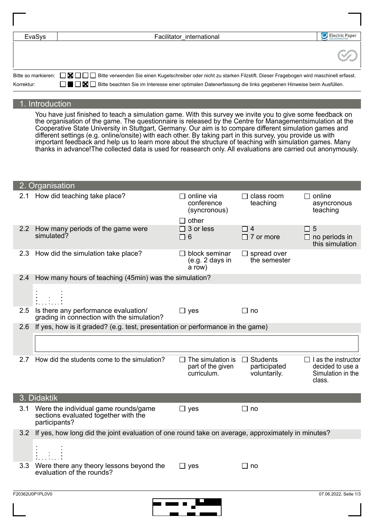| EvaSys     | Facilitator international                                                                                                                           | Electric Paper |
|------------|-----------------------------------------------------------------------------------------------------------------------------------------------------|----------------|
|            |                                                                                                                                                     |                |
|            |                                                                                                                                                     |                |
|            |                                                                                                                                                     |                |
|            |                                                                                                                                                     |                |
|            | Bitte so markieren: <b>NIP</b> Bitte verwenden Sie einen Kugelschreiber oder nicht zu starken Filzstift. Dieser Fragebogen wird maschinell erfasst. |                |
| Korrektur: | ■ ■ Bitte beachten Sie im Interesse einer optimalen Datenerfassung die links gegebenen Hinweise beim Ausfüllen.                                     |                |

## 1. Introduction

You have just finished to teach a simulation game. With this survey we invite you to give some feedback on the organisation of the game. The questionnaire is released by the Centre for Managementsimulation at the Cooperative State University in Stuttgart, Germany. Our aim is to compare different simulation games and different settings (e.g. online/onsite) with each other. By taking part in this survey, you provide us with important feedback and help us to learn more about the structure of teaching with simulation games. Many thanks in advance!The collected data is used for reasearch only. All evaluations are carried out anonymously.

|               | 2. Organisation                                                                                   |                                                              |                                                 |                                                                               |  |  |  |  |
|---------------|---------------------------------------------------------------------------------------------------|--------------------------------------------------------------|-------------------------------------------------|-------------------------------------------------------------------------------|--|--|--|--|
| 2.1           | How did teaching take place?                                                                      | $\Box$ online via<br>conference<br>(syncronous)              | $\Box$ class room<br>teaching                   | $\Box$ online<br>asyncronous<br>teaching                                      |  |  |  |  |
|               |                                                                                                   | $\Box$ other                                                 |                                                 |                                                                               |  |  |  |  |
| $2.2^{\circ}$ | How many periods of the game were<br>simulated?                                                   | $\Box$ 3 or less<br>$\Box$ 6                                 | $\Box$ 4<br>$\Box$ 7 or more                    | $\Box$ 5<br>$\Box$ no periods in<br>this simulation                           |  |  |  |  |
| 2.3           | How did the simulation take place?                                                                | $\Box$ block seminar<br>(e.g. 2 days in<br>a row)            | $\Box$ spread over<br>the semester              |                                                                               |  |  |  |  |
| 2.4           | How many hours of teaching (45min) was the simulation?                                            |                                                              |                                                 |                                                                               |  |  |  |  |
|               |                                                                                                   |                                                              |                                                 |                                                                               |  |  |  |  |
| 2.5           | Is there any performance evaluation/<br>grading in connection with the simulation?                | $\Box$ yes                                                   | $\Box$ no                                       |                                                                               |  |  |  |  |
| 2.6           | If yes, how is it graded? (e.g. test, presentation or performance in the game)                    |                                                              |                                                 |                                                                               |  |  |  |  |
|               |                                                                                                   |                                                              |                                                 |                                                                               |  |  |  |  |
| 2.7           | How did the students come to the simulation?                                                      | $\Box$ The simulation is<br>part of the given<br>curriculum. | $\Box$ Students<br>participated<br>voluntarily. | $\Box$ I as the instructor<br>decided to use a<br>Simulation in the<br>class. |  |  |  |  |
|               | 3. Didaktik                                                                                       |                                                              |                                                 |                                                                               |  |  |  |  |
| 3.1           | Were the individual game rounds/game<br>sections evaluated together with the<br>participants?     | $\Box$ yes                                                   | $\Box$ no                                       |                                                                               |  |  |  |  |
| 3.2           | If yes, how long did the joint evaluation of one round take on average, approximately in minutes? |                                                              |                                                 |                                                                               |  |  |  |  |
|               |                                                                                                   |                                                              |                                                 |                                                                               |  |  |  |  |
| 3.3           | Were there any theory lessons beyond the<br>evaluation of the rounds?                             | $\Box$ yes                                                   | $\Box$ no                                       |                                                                               |  |  |  |  |
|               |                                                                                                   |                                                              |                                                 |                                                                               |  |  |  |  |
|               | F20362U0P1PL0V0                                                                                   |                                                              |                                                 | 07.06.2022, Seite 1/3                                                         |  |  |  |  |

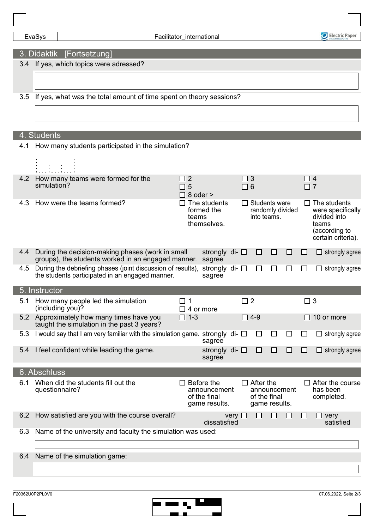Electric Paper

## 3. Didaktik [Fortsetzung]

3.4 If yes, which topics were adressed?

3.5 If yes, what was the total amount of time spent on theory sessions?

## 4. Students

| 4.1 | How many students participated in the simulation?                                                              |                                             |                                               |               |                      |                                                                   |   |    |                      |                                                                                                   |
|-----|----------------------------------------------------------------------------------------------------------------|---------------------------------------------|-----------------------------------------------|---------------|----------------------|-------------------------------------------------------------------|---|----|----------------------|---------------------------------------------------------------------------------------------------|
| 4.2 | How many teams were formed for the<br>simulation?                                                              | $\overline{2}$<br>П<br>5<br>$\Box$ 8 oder > |                                               |               | $\Box$ 3<br>$\Box$ 6 |                                                                   |   |    | $\Box$ 4<br>$\Box$ 7 |                                                                                                   |
| 4.3 | How were the teams formed?                                                                                     | teams                                       | The students<br>formed the<br>themselves.     |               |                      | $\Box$ Students were<br>randomly divided<br>into teams.           |   |    |                      | The students<br>were specifically<br>divided into<br>teams<br>(according to<br>certain criteria). |
| 4.4 | During the decision-making phases (work in small<br>groups), the students worked in an engaged manner.         |                                             | strongly di- $\square$<br>sagree              |               |                      | $\Box$                                                            | □ | ΙI | $\Box$               | $\Box$ strongly agree                                                                             |
| 4.5 | During the debriefing phases (joint discussion of results),<br>the students participated in an engaged manner. |                                             | strongly di- $\Box$<br>sagree                 |               |                      | ⊔                                                                 | □ | ⊔  | $\Box$               | strongly agree                                                                                    |
|     | 5. Instructor                                                                                                  |                                             |                                               |               |                      |                                                                   |   |    |                      |                                                                                                   |
| 5.1 | How many people led the simulation<br>(including you)?                                                         | $\square$ 1<br>$\Box$ 4 or more             |                                               |               | $\square$ 2          |                                                                   |   |    | $\Box$ 3             |                                                                                                   |
| 5.2 | Approximately how many times have you<br>taught the simulation in the past 3 years?                            | $\square$ 1-3                               |                                               |               |                      | $\Box$ 4-9                                                        |   |    | $\perp$              | 10 or more                                                                                        |
| 5.3 | I would say that I am very familiar with the simulation game. strongly di- $\Box$                              |                                             | sagree                                        |               |                      | $\Box$                                                            |   |    | $\Box$               | strongly agree                                                                                    |
| 5.4 | I feel confident while leading the game.                                                                       |                                             | strongly di- $\square$<br>sagree              |               |                      | $\Box$                                                            | □ | ΙI | $\Box$               | $\Box$ strongly agree                                                                             |
|     | 6. Abschluss                                                                                                   |                                             |                                               |               |                      |                                                                   |   |    |                      |                                                                                                   |
| 6.1 | When did the students fill out the<br>questionnaire?                                                           | $\Box$ Before the                           | announcement<br>of the final<br>game results. |               |                      | $\Box$ After the<br>announcement<br>of the final<br>game results. |   |    |                      | $\Box$ After the course<br>has been<br>completed.                                                 |
| 6.2 | How satisfied are you with the course overall?                                                                 |                                             | dissatisfied                                  | $very$ $\Box$ |                      | $\overline{\phantom{a}}$                                          |   |    | $\Box$               | very<br>satisfied                                                                                 |
| 6.3 | Name of the university and faculty the simulation was used:                                                    |                                             |                                               |               |                      |                                                                   |   |    |                      |                                                                                                   |
| 6.4 | Name of the simulation game:                                                                                   |                                             |                                               |               |                      |                                                                   |   |    |                      |                                                                                                   |
|     |                                                                                                                |                                             |                                               |               |                      |                                                                   |   |    |                      |                                                                                                   |